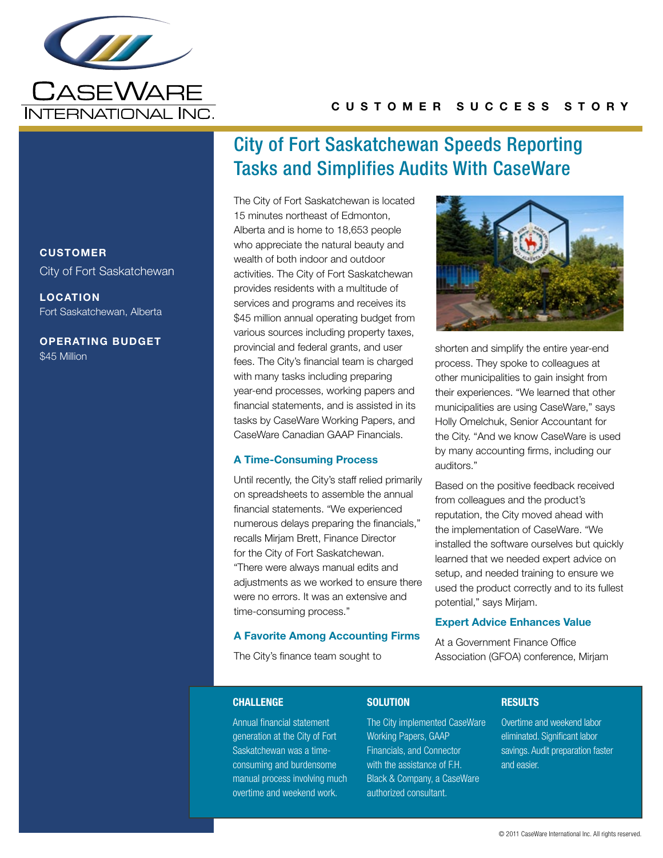

# C u s t o m e r S u cc e s s S t o r y

# **CUSTOMER** City of Fort Saskatchewan

LOCATION Fort Saskatchewan, Alberta

Operating Budget \$45 Million

# City of Fort Saskatchewan Speeds Reporting Tasks and Simplifies Audits With CaseWare

The City of Fort Saskatchewan is located 15 minutes northeast of Edmonton, Alberta and is home to 18,653 people who appreciate the natural beauty and wealth of both indoor and outdoor activities. The City of Fort Saskatchewan provides residents with a multitude of services and programs and receives its \$45 million annual operating budget from various sources including property taxes, provincial and federal grants, and user fees. The City's financial team is charged with many tasks including preparing year-end processes, working papers and financial statements, and is assisted in its tasks by CaseWare Working Papers, and CaseWare Canadian GAAP Financials.

### A Time-Consuming Process

Until recently, the City's staff relied primarily on spreadsheets to assemble the annual financial statements. "We experienced numerous delays preparing the financials," recalls Mirjam Brett, Finance Director for the City of Fort Saskatchewan. "There were always manual edits and adjustments as we worked to ensure there were no errors. It was an extensive and time-consuming process."

#### A Favorite Among Accounting Firms

The City's finance team sought to



shorten and simplify the entire year-end process. They spoke to colleagues at other municipalities to gain insight from their experiences. "We learned that other municipalities are using CaseWare," says Holly Omelchuk, Senior Accountant for the City. "And we know CaseWare is used by many accounting firms, including our auditors."

Based on the positive feedback received from colleagues and the product's reputation, the City moved ahead with the implementation of CaseWare. "We installed the software ourselves but quickly learned that we needed expert advice on setup, and needed training to ensure we used the product correctly and to its fullest potential," says Mirjam.

#### Expert Advice Enhances Value

At a Government Finance Office Association (GFOA) conference, Mirjam

#### **CHALLENGE**

#### **SOLUTION**

Annual financial statement generation at the City of Fort Saskatchewan was a timeconsuming and burdensome manual process involving much overtime and weekend work. authorized consultant.

The City implemented CaseWare Working Papers, GAAP Financials, and Connector with the assistance of F.H. Black & Company, a CaseWare

**RESULTS** 

Overtime and weekend labor eliminated. Significant labor savings. Audit preparation faster and easier.